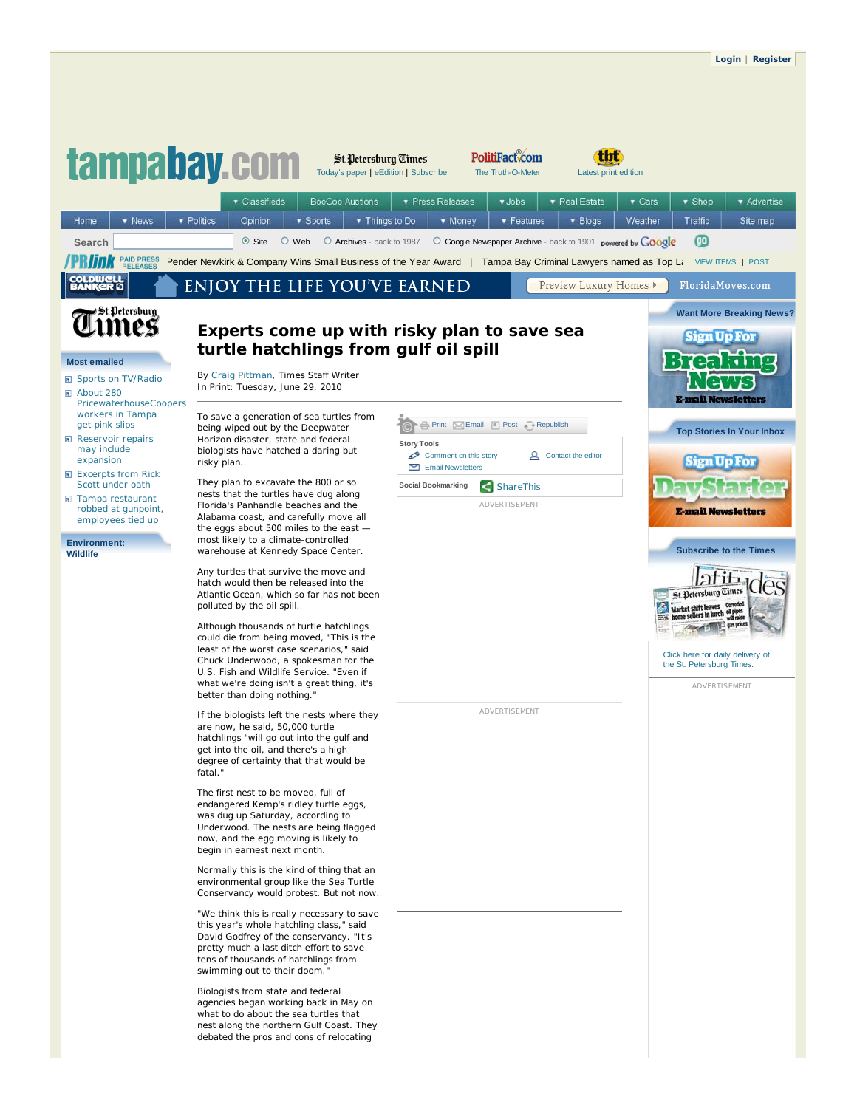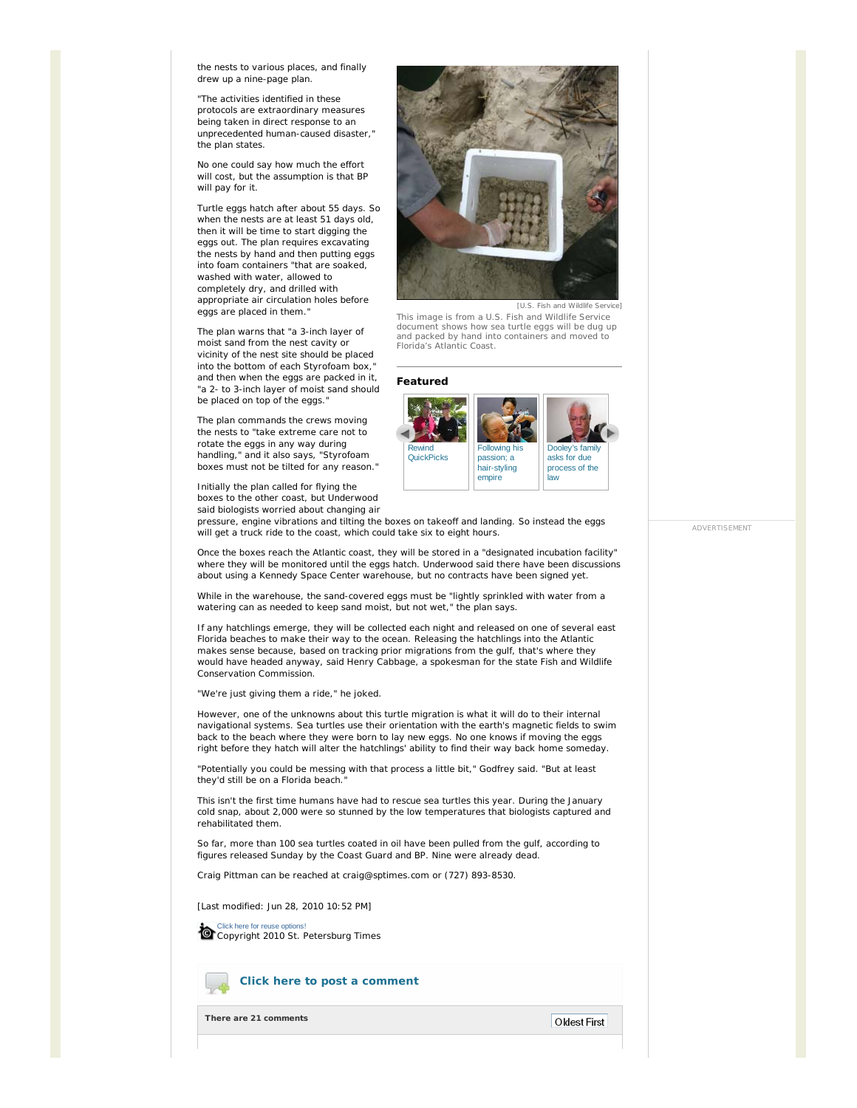the nests to various places, and finally drew up a nine-page plan.

"The activities identified in these protocols are extraordinary measures being taken in direct response to an unprecedented human-caused disaster," the plan states.

No one could say how much the effort will cost, but the assumption is that BP will pay for it.

Turtle eggs hatch after about 55 days. So when the nests are at least 51 days old, then it will be time to start digging the eggs out. The plan requires excavating the nests by hand and then putting eggs into foam containers "that are soaked, washed with water, allowed to completely dry, and drilled with appropriate air circulation holes before eggs are placed in them.

The plan warns that "a 3-inch layer of moist sand from the nest cavity or vicinity of the nest site should be placed into the bottom of each Styrofoam box," and then when the eggs are packed in it, "a 2- to 3-inch layer of moist sand should be placed on top of the eggs."

The plan commands the crews moving the nests to "take extreme care not to rotate the eggs in any way during handling," and it also says, "Styrofoam boxes must not be tilted for any reason."

Initially the plan called for flying the boxes to the other coast, but Underwood said biologists worried about changing air



[U.S. Fish and Wildlife Service]

This image is from a U.S. Fish and Wildlife Service document shows how sea turtle eggs will be dug up and packed by hand into containers and moved to Florida's Atlantic Coast.

## **Featured**



pressure, engine vibrations and tilting the boxes on takeoff and landing. So instead the eggs will get a truck ride to the coast, which could take six to eight hours.

Once the boxes reach the Atlantic coast, they will be stored in a "designated incubation facility" where they will be monitored until the eggs hatch. Underwood said there have been discussions about using a Kennedy Space Center warehouse, but no contracts have been signed yet.

While in the warehouse, the sand-covered eggs must be "lightly sprinkled with water from a watering can as needed to keep sand moist, but not wet," the plan says.

If any hatchlings emerge, they will be collected each night and released on one of several east Florida beaches to make their way to the ocean. Releasing the hatchlings into the Atlantic makes sense because, based on tracking prior migrations from the gulf, that's where they would have headed anyway, said Henry Cabbage, a spokesman for the state Fish and Wildlife Conservation Commission.

"We're just giving them a ride," he joked.

However, one of the unknowns about this turtle migration is what it will do to their internal navigational systems. Sea turtles use their orientation with the earth's magnetic fields to swim back to the beach where they were born to lay new eggs. No one knows if moving the eggs right before they hatch will alter the hatchlings' ability to find their way back home someday.

"Potentially you could be messing with that process a little bit," Godfrey said. "But at least they'd still be on a Florida beach.

This isn't the first time humans have had to rescue sea turtles this year. During the January cold snap, about 2,000 were so stunned by the low temperatures that biologists captured and rehabilitated them.

So far, more than 100 sea turtles coated in oil have been pulled from the gulf, according to figures released Sunday by the Coast Guard and BP. Nine were already dead.

*Craig Pittman can be reached at craig@sptimes.com or (727) 893-8530.*

[Last modified: Jun 28, 2010 10:52 PM]

Click here for reuse options! Copyright 2010 St. Petersburg Times

## **Click here to post a comment**

**There are 21 comments**

ADVERTISEMENT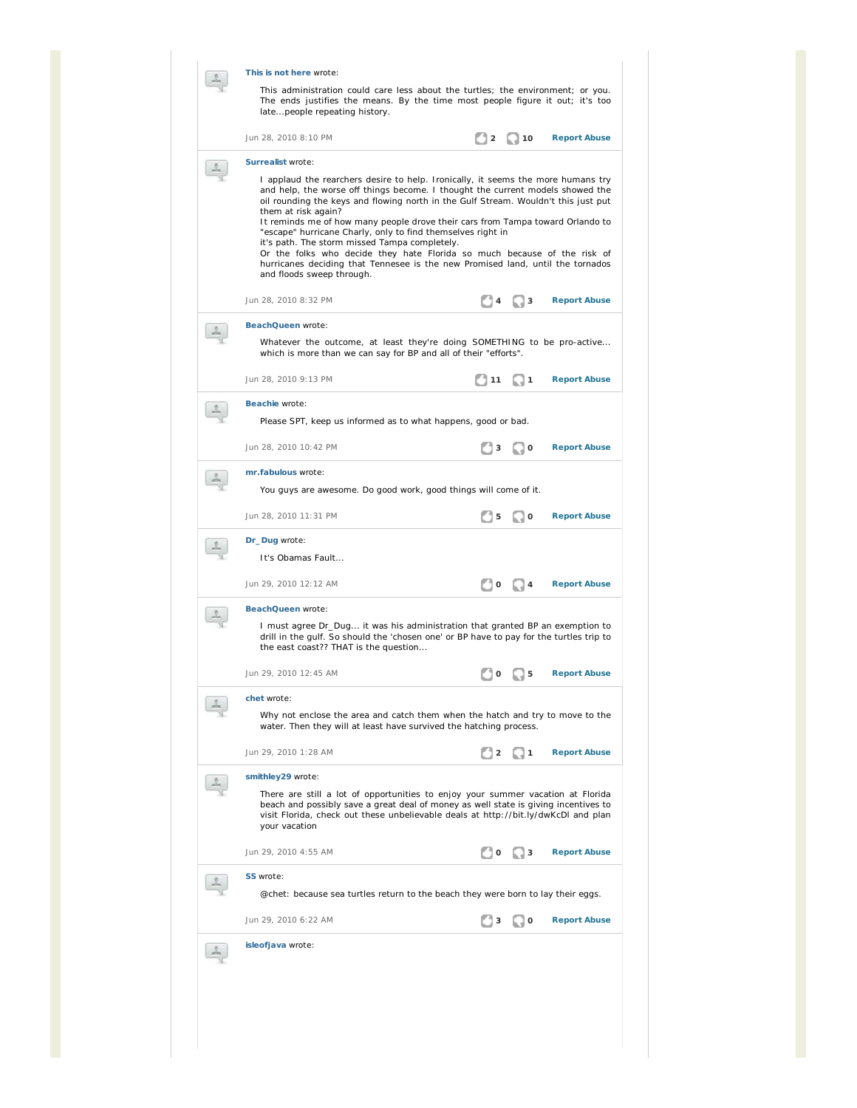| This is not here wrote:<br>This administration could care less about the turtles; the environment; or you.<br>The ends justifies the means. By the time most people figure it out; it's too<br>latepeople repeating history.                                                                                                                                                                                                                                                                                                                                                                                                                                                                      |  |  |  |  |  |  |  |
|---------------------------------------------------------------------------------------------------------------------------------------------------------------------------------------------------------------------------------------------------------------------------------------------------------------------------------------------------------------------------------------------------------------------------------------------------------------------------------------------------------------------------------------------------------------------------------------------------------------------------------------------------------------------------------------------------|--|--|--|--|--|--|--|
| Jun 28, 2010 8:10 PM<br>$\overline{1}2$<br>$\Box$ 10<br><b>Report Abuse</b>                                                                                                                                                                                                                                                                                                                                                                                                                                                                                                                                                                                                                       |  |  |  |  |  |  |  |
| Surrealist wrote:<br>I applaud the rearchers desire to help. Ironically, it seems the more humans try<br>and help, the worse off things become. I thought the current models showed the<br>oil rounding the keys and flowing north in the Gulf Stream. Wouldn't this just put<br>them at risk again?<br>It reminds me of how many people drove their cars from Tampa toward Orlando to<br>"escape" hurricane Charly, only to find themselves right in<br>it's path. The storm missed Tampa completely.<br>Or the folks who decide they hate Florida so much because of the risk of<br>hurricanes deciding that Tennesee is the new Promised land, until the tornados<br>and floods sweep through. |  |  |  |  |  |  |  |
| Jun 28, 2010 8:32 PM<br><b>Report Abuse</b><br>  3                                                                                                                                                                                                                                                                                                                                                                                                                                                                                                                                                                                                                                                |  |  |  |  |  |  |  |
| BeachQueen wrote:<br>Whatever the outcome, at least they're doing SOMETHING to be pro-active<br>which is more than we can say for BP and all of their "efforts".<br>Jun 28, 2010 9:13 PM<br>111<br><b>Report Abuse</b><br>11                                                                                                                                                                                                                                                                                                                                                                                                                                                                      |  |  |  |  |  |  |  |
| Beachie wrote:                                                                                                                                                                                                                                                                                                                                                                                                                                                                                                                                                                                                                                                                                    |  |  |  |  |  |  |  |
| Please SPT, keep us informed as to what happens, good or bad.                                                                                                                                                                                                                                                                                                                                                                                                                                                                                                                                                                                                                                     |  |  |  |  |  |  |  |
| Jun 28, 2010 10:42 PM<br><b>Report Abuse</b><br>1 o<br>3                                                                                                                                                                                                                                                                                                                                                                                                                                                                                                                                                                                                                                          |  |  |  |  |  |  |  |
| mr.fabulous wrote:<br>You guys are awesome. Do good work, good things will come of it.                                                                                                                                                                                                                                                                                                                                                                                                                                                                                                                                                                                                            |  |  |  |  |  |  |  |
| Jun 28, 2010 11:31 PM<br>5<br>1 O<br><b>Report Abuse</b>                                                                                                                                                                                                                                                                                                                                                                                                                                                                                                                                                                                                                                          |  |  |  |  |  |  |  |
| Dr_Dug wrote:<br>It's Obamas Fault                                                                                                                                                                                                                                                                                                                                                                                                                                                                                                                                                                                                                                                                |  |  |  |  |  |  |  |
| Jun 29, 2010 12:12 AM<br>1 O<br><b>Report Abuse</b><br>- 4                                                                                                                                                                                                                                                                                                                                                                                                                                                                                                                                                                                                                                        |  |  |  |  |  |  |  |
| BeachQueen wrote:<br>I must agree Dr_Dug it was his administration that granted BP an exemption to<br>drill in the gulf. So should the 'chosen one' or BP have to pay for the turtles trip to<br>the east coast?? THAT is the question                                                                                                                                                                                                                                                                                                                                                                                                                                                            |  |  |  |  |  |  |  |
| Jun 29, 2010 12:45 AM<br><b>Report Abuse</b>                                                                                                                                                                                                                                                                                                                                                                                                                                                                                                                                                                                                                                                      |  |  |  |  |  |  |  |
| chet wrote:<br>Why not enclose the area and catch them when the hatch and try to move to the<br>water. Then they will at least have survived the hatching process.                                                                                                                                                                                                                                                                                                                                                                                                                                                                                                                                |  |  |  |  |  |  |  |
| Jun 29, 2010 1:28 AM<br><b>Report Abuse</b><br>∣ 1<br>$\overline{\mathbf{2}}$                                                                                                                                                                                                                                                                                                                                                                                                                                                                                                                                                                                                                     |  |  |  |  |  |  |  |
| smithley29 wrote:<br>There are still a lot of opportunities to enjoy your summer vacation at Florida<br>beach and possibly save a great deal of money as well state is giving incentives to<br>visit Florida, check out these unbelievable deals at http://bit.ly/dwKcDl and plan<br>your vacation                                                                                                                                                                                                                                                                                                                                                                                                |  |  |  |  |  |  |  |
| Jun 29, 2010 4:55 AM<br><b>Report Abuse</b><br>3                                                                                                                                                                                                                                                                                                                                                                                                                                                                                                                                                                                                                                                  |  |  |  |  |  |  |  |
| SS wrote:<br>@chet: because sea turtles return to the beach they were born to lay their eggs.                                                                                                                                                                                                                                                                                                                                                                                                                                                                                                                                                                                                     |  |  |  |  |  |  |  |
| Jun 29, 2010 6:22 AM<br><b>Report Abuse</b><br>l 0                                                                                                                                                                                                                                                                                                                                                                                                                                                                                                                                                                                                                                                |  |  |  |  |  |  |  |
| isleofjava wrote:                                                                                                                                                                                                                                                                                                                                                                                                                                                                                                                                                                                                                                                                                 |  |  |  |  |  |  |  |
|                                                                                                                                                                                                                                                                                                                                                                                                                                                                                                                                                                                                                                                                                                   |  |  |  |  |  |  |  |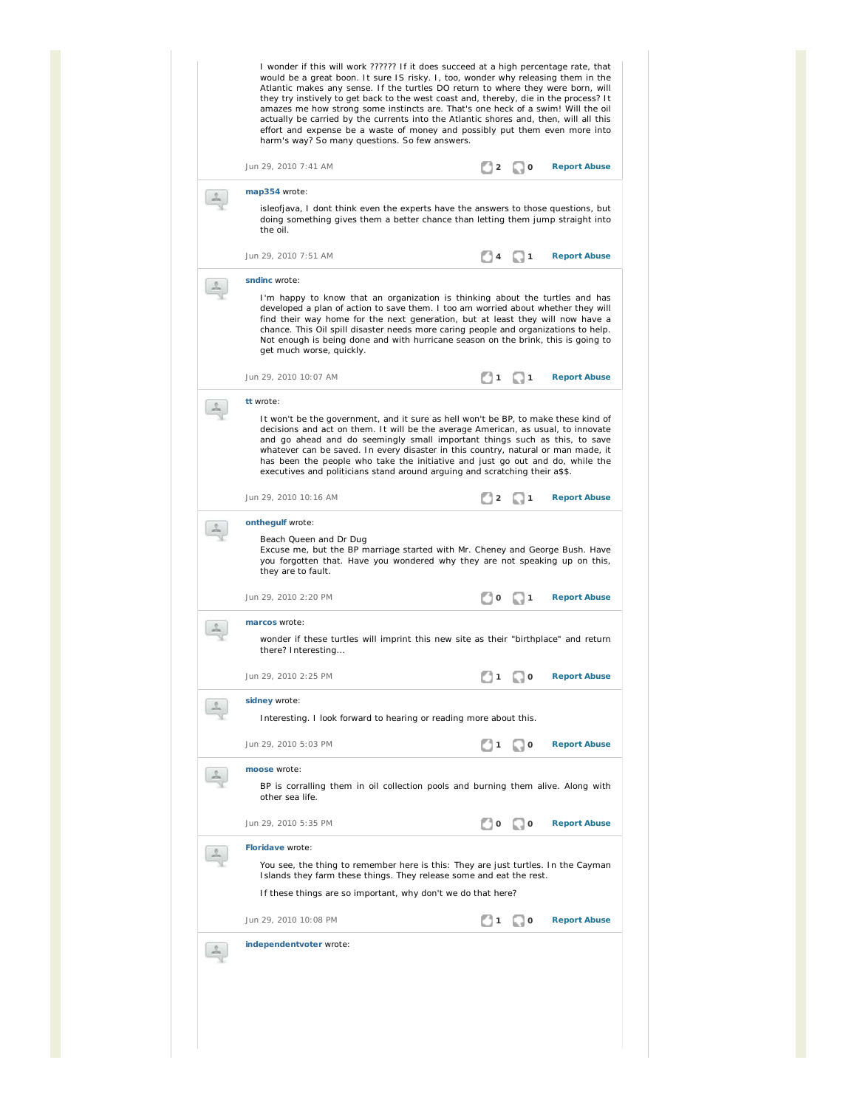| I wonder if this will work ?????? If it does succeed at a high percentage rate, that<br>would be a great boon. It sure IS risky. I, too, wonder why releasing them in the<br>Atlantic makes any sense. If the turtles DO return to where they were born, will<br>they try instively to get back to the west coast and, thereby, die in the process? It<br>amazes me how strong some instincts are. That's one heck of a swim! Will the oil<br>actually be carried by the currents into the Atlantic shores and, then, will all this<br>effort and expense be a waste of money and possibly put them even more into<br>harm's way? So many questions. So few answers. |                |                                     |                     |  |  |  |  |  |
|----------------------------------------------------------------------------------------------------------------------------------------------------------------------------------------------------------------------------------------------------------------------------------------------------------------------------------------------------------------------------------------------------------------------------------------------------------------------------------------------------------------------------------------------------------------------------------------------------------------------------------------------------------------------|----------------|-------------------------------------|---------------------|--|--|--|--|--|
| Jun 29, 2010 7:41 AM                                                                                                                                                                                                                                                                                                                                                                                                                                                                                                                                                                                                                                                 | $\Box$ 2       | $\blacksquare$ 0                    | <b>Report Abuse</b> |  |  |  |  |  |
| map354 wrote:<br>isleofjava, I dont think even the experts have the answers to those questions, but<br>doing something gives them a better chance than letting them jump straight into<br>the oil.                                                                                                                                                                                                                                                                                                                                                                                                                                                                   |                |                                     |                     |  |  |  |  |  |
| Jun 29, 2010 7:51 AM                                                                                                                                                                                                                                                                                                                                                                                                                                                                                                                                                                                                                                                 |                | 11                                  | <b>Report Abuse</b> |  |  |  |  |  |
| sndinc wrote:<br>I'm happy to know that an organization is thinking about the turtles and has<br>developed a plan of action to save them. I too am worried about whether they will<br>find their way home for the next generation, but at least they will now have a<br>chance. This Oil spill disaster needs more caring people and organizations to help.<br>Not enough is being done and with hurricane season on the brink, this is going to<br>get much worse, quickly.                                                                                                                                                                                         |                |                                     |                     |  |  |  |  |  |
| Jun 29, 2010 10:07 AM                                                                                                                                                                                                                                                                                                                                                                                                                                                                                                                                                                                                                                                | $\overline{1}$ | -1                                  | <b>Report Abuse</b> |  |  |  |  |  |
| tt wrote:<br>It won't be the government, and it sure as hell won't be BP, to make these kind of<br>decisions and act on them. It will be the average American, as usual, to innovate<br>and go ahead and do seemingly small important things such as this, to save<br>whatever can be saved. In every disaster in this country, natural or man made, it<br>has been the people who take the initiative and just go out and do, while the<br>executives and politicians stand around arguing and scratching their a\$\$.                                                                                                                                              |                |                                     |                     |  |  |  |  |  |
| Jun 29, 2010 10:16 AM                                                                                                                                                                                                                                                                                                                                                                                                                                                                                                                                                                                                                                                | 12             | - 1                                 | <b>Report Abuse</b> |  |  |  |  |  |
| onthegulf wrote:<br>Beach Queen and Dr Dug<br>Excuse me, but the BP marriage started with Mr. Cheney and George Bush. Have<br>you forgotten that. Have you wondered why they are not speaking up on this,<br>they are to fault.                                                                                                                                                                                                                                                                                                                                                                                                                                      |                |                                     |                     |  |  |  |  |  |
| Jun 29, 2010 2:20 PM                                                                                                                                                                                                                                                                                                                                                                                                                                                                                                                                                                                                                                                 |                | $\blacksquare$ 10 $\blacksquare$ 11 | <b>Report Abuse</b> |  |  |  |  |  |
| marcos wrote:                                                                                                                                                                                                                                                                                                                                                                                                                                                                                                                                                                                                                                                        |                |                                     |                     |  |  |  |  |  |
| wonder if these turtles will imprint this new site as their "birthplace" and return<br>there? Interesting                                                                                                                                                                                                                                                                                                                                                                                                                                                                                                                                                            |                |                                     |                     |  |  |  |  |  |
| Jun 29, 2010 2:25 PM                                                                                                                                                                                                                                                                                                                                                                                                                                                                                                                                                                                                                                                 | 11             | $\Box$ 0                            | <b>Report Abuse</b> |  |  |  |  |  |
| sidney wrote:<br>Interesting. I look forward to hearing or reading more about this.                                                                                                                                                                                                                                                                                                                                                                                                                                                                                                                                                                                  |                |                                     |                     |  |  |  |  |  |
| Jun 29, 2010 5:03 PM                                                                                                                                                                                                                                                                                                                                                                                                                                                                                                                                                                                                                                                 |                | O                                   | <b>Report Abuse</b> |  |  |  |  |  |
| moose wrote:<br>BP is corralling them in oil collection pools and burning them alive. Along with<br>other sea life.                                                                                                                                                                                                                                                                                                                                                                                                                                                                                                                                                  |                |                                     |                     |  |  |  |  |  |
| Jun 29, 2010 5:35 PM                                                                                                                                                                                                                                                                                                                                                                                                                                                                                                                                                                                                                                                 | $\circ$        | . . O                               | <b>Report Abuse</b> |  |  |  |  |  |
| Floridave wrote:                                                                                                                                                                                                                                                                                                                                                                                                                                                                                                                                                                                                                                                     |                |                                     |                     |  |  |  |  |  |
| You see, the thing to remember here is this: They are just turtles. In the Cayman<br>Islands they farm these things. They release some and eat the rest.                                                                                                                                                                                                                                                                                                                                                                                                                                                                                                             |                |                                     |                     |  |  |  |  |  |
| If these things are so important, why don't we do that here?                                                                                                                                                                                                                                                                                                                                                                                                                                                                                                                                                                                                         |                |                                     |                     |  |  |  |  |  |
| Jun 29, 2010 10:08 PM                                                                                                                                                                                                                                                                                                                                                                                                                                                                                                                                                                                                                                                |                | 0                                   | <b>Report Abuse</b> |  |  |  |  |  |